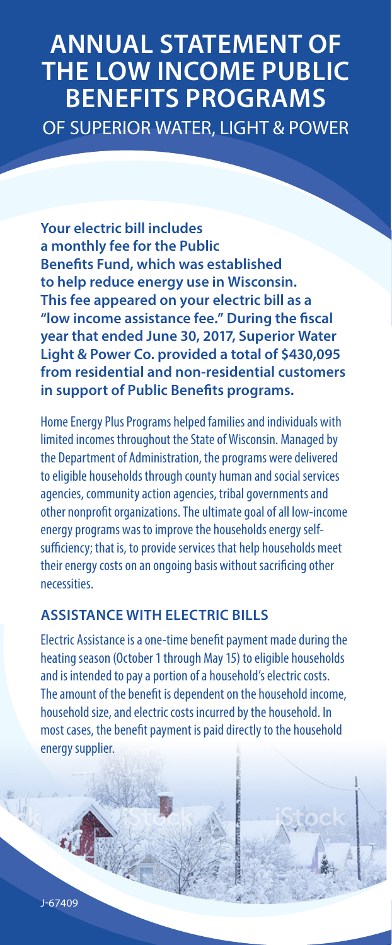# **ANNUAL STATEMENT OF THE LOW INCOME PUBLIC BENEFITS PROGRAMS** OF SUPERIOR WATER, LIGHT & POWER

**Your electric bill includes a monthly fee for the Public Benefits Fund, which was established to help reduce energy use in Wisconsin. This fee appeared on your electric bill as a "low income assistance fee." During the fiscal year that ended June 30, 2017, Superior Water Light & Power Co. provided a total of \$430,095 from residential and non-residential customers in support of Public Benefits programs.**

Home Energy Plus Programs helped families and individuals with limited incomes throughout the State of Wisconsin. Managed by the Department of Administration, the programs were delivered to eligible households through county human and social services agencies, community action agencies, tribal governments and other nonprofit organizations. The ultimate goal of all low-income energy programs was to improve the households energy selfsufficiency; that is, to provide services that help households meet their energy costs on an ongoing basis without sacrificing other necessities.

#### **ASSISTANCE WITH ELECTRIC BILLS**

Electric Assistance is a one-time benefit payment made during the heating season (October 1 through May 15) to eligible households and is intended to pay a portion of a household's electric costs. The amount of the benefit is dependent on the household income, household size, and electric costs incurred by the household. In most cases, the benefit payment is paid directly to the household energy supplier.